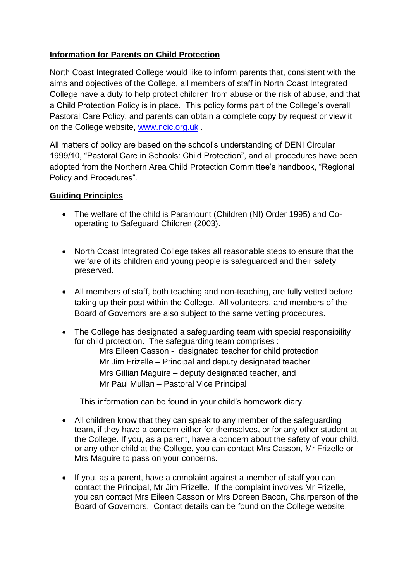# **Information for Parents on Child Protection**

North Coast Integrated College would like to inform parents that, consistent with the aims and objectives of the College, all members of staff in North Coast Integrated College have a duty to help protect children from abuse or the risk of abuse, and that a Child Protection Policy is in place. This policy forms part of the College's overall Pastoral Care Policy, and parents can obtain a complete copy by request or view it on the College website, [www.ncic.org.uk](http://www.ncic.org.uk/) .

All matters of policy are based on the school's understanding of DENI Circular 1999/10, "Pastoral Care in Schools: Child Protection", and all procedures have been adopted from the Northern Area Child Protection Committee's handbook, "Regional Policy and Procedures".

## **Guiding Principles**

- The welfare of the child is Paramount (Children (NI) Order 1995) and Cooperating to Safeguard Children (2003).
- North Coast Integrated College takes all reasonable steps to ensure that the welfare of its children and young people is safeguarded and their safety preserved.
- All members of staff, both teaching and non-teaching, are fully vetted before taking up their post within the College. All volunteers, and members of the Board of Governors are also subject to the same vetting procedures.
- The College has designated a safeguarding team with special responsibility for child protection. The safeguarding team comprises : Mrs Eileen Casson - designated teacher for child protection Mr Jim Frizelle – Principal and deputy designated teacher Mrs Gillian Maguire – deputy designated teacher, and Mr Paul Mullan – Pastoral Vice Principal

This information can be found in your child's homework diary.

- All children know that they can speak to any member of the safeguarding team, if they have a concern either for themselves, or for any other student at the College. If you, as a parent, have a concern about the safety of your child, or any other child at the College, you can contact Mrs Casson, Mr Frizelle or Mrs Maguire to pass on your concerns.
- If you, as a parent, have a complaint against a member of staff you can contact the Principal, Mr Jim Frizelle. If the complaint involves Mr Frizelle, you can contact Mrs Eileen Casson or Mrs Doreen Bacon, Chairperson of the Board of Governors. Contact details can be found on the College website.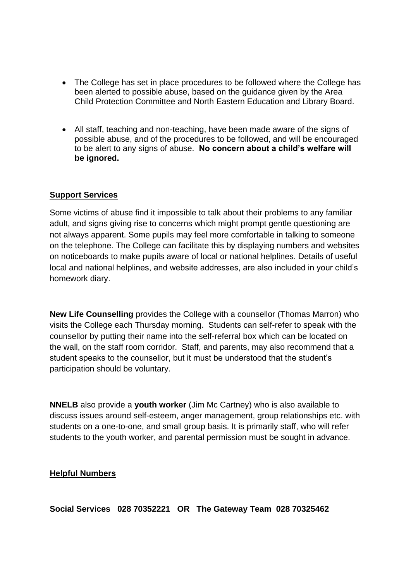- The College has set in place procedures to be followed where the College has been alerted to possible abuse, based on the guidance given by the Area Child Protection Committee and North Eastern Education and Library Board.
- All staff, teaching and non-teaching, have been made aware of the signs of possible abuse, and of the procedures to be followed, and will be encouraged to be alert to any signs of abuse. **No concern about a child's welfare will be ignored.**

#### **Support Services**

Some victims of abuse find it impossible to talk about their problems to any familiar adult, and signs giving rise to concerns which might prompt gentle questioning are not always apparent. Some pupils may feel more comfortable in talking to someone on the telephone. The College can facilitate this by displaying numbers and websites on noticeboards to make pupils aware of local or national helplines. Details of useful local and national helplines, and website addresses, are also included in your child's homework diary.

**New Life Counselling** provides the College with a counsellor (Thomas Marron) who visits the College each Thursday morning. Students can self-refer to speak with the counsellor by putting their name into the self-referral box which can be located on the wall, on the staff room corridor. Staff, and parents, may also recommend that a student speaks to the counsellor, but it must be understood that the student's participation should be voluntary.

**NNELB** also provide a **youth worker** (Jim Mc Cartney) who is also available to discuss issues around self-esteem, anger management, group relationships etc. with students on a one-to-one, and small group basis. It is primarily staff, who will refer students to the youth worker, and parental permission must be sought in advance.

#### **Helpful Numbers**

**Social Services 028 70352221 OR The Gateway Team 028 70325462**